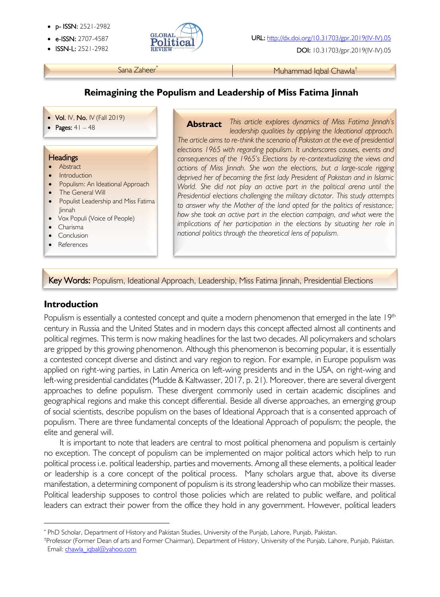- p- ISSN: 2521-2982
- 
- 



**ISSN-L:** 2521-2982 **REVIEW ALLERGY CONSUMING THE USING CONSUMING DOI:** 10.31703/gpr.2019(IV-IV).05

Sana Zaheer\* Muhammad Iqbal Chawla<sup>†</sup>

## **Reimagining the Populism and Leadership of Miss Fatima Jinnah**

- Vol. IV, No. IV (Fall 2019)
- Pages:  $41 48$

#### **Headings**

į

- Abstract
- Introduction
- Populism: An Ideational Approach
- The General Will
- Populist Leadership and Miss Fatima Jinnah
- Vox Populi (Voice of People)
- Charisma

l

- Conclusion
- References

*This article explores dynamics of Miss Fatima Jinnah's*  **Abstract***leadership qualities by applying the Ideational approach. The article aims to re-think the scenario of Pakistan at the eve of presidential elections 1965 with regarding populism. It underscores causes, events and consequences of the 1965's Elections by re-contextualizing the views and actions of Miss Jinnah. She won the elections, but a large-scale rigging deprived her of becoming the first lady President of Pakistan and in Islamic World. She did not play an active part in the political arena until the Presidential elections challenging the military dictator. This study attempts to answer why the Mother of the land opted for the politics of resistance; how she took an active part in the election campaign, and what were the implications of her participation in the elections by situating her role in national politics through the theoretical lens of populism.* 

#### Key Words: Populism, Ideational Approach, Leadership, Miss Fatima Jinnah, Presidential Elections

### **Introduction**

Populism is essentially a contested concept and quite a modern phenomenon that emerged in the late 19<sup>th</sup> century in Russia and the United States and in modern days this concept affected almost all continents and political regimes. This term is now making headlines for the last two decades. All policymakers and scholars are gripped by this growing phenomenon. Although this phenomenon is becoming popular, it is essentially a contested concept diverse and distinct and vary region to region. For example, in Europe populism was applied on right-wing parties, in Latin America on left-wing presidents and in the USA, on right-wing and left-wing presidential candidates (Mudde & Kaltwasser, 2017, p. 21). Moreover, there are several divergent approaches to define populism. These divergent commonly used in certain academic disciplines and geographical regions and make this concept differential. Beside all diverse approaches, an emerging group of social scientists, describe populism on the bases of Ideational Approach that is a consented approach of populism. There are three fundamental concepts of the Ideational Approach of populism; the people, the elite and general will.

It is important to note that leaders are central to most political phenomena and populism is certainly no exception. The concept of populism can be implemented on major political actors which help to run political process i.e. political leadership, parties and movements. Among all these elements, a political leader or leadership is a core concept of the political process. Many scholars argue that, above its diverse manifestation, a determining component of populism is its strong leadership who can mobilize their masses. Political leadership supposes to control those policies which are related to public welfare, and political leaders can extract their power from the office they hold in any government. However, political leaders

<sup>\*</sup> PhD Scholar, Department of History and Pakistan Studies, University of the Punjab, Lahore, Punjab, Pakistan.

<sup>†</sup>Professor (Former Dean of arts and Former Chairman), Department of History, University of the Punjab, Lahore, Punjab, Pakistan. Email: chawla\_iqbal@yahoo.com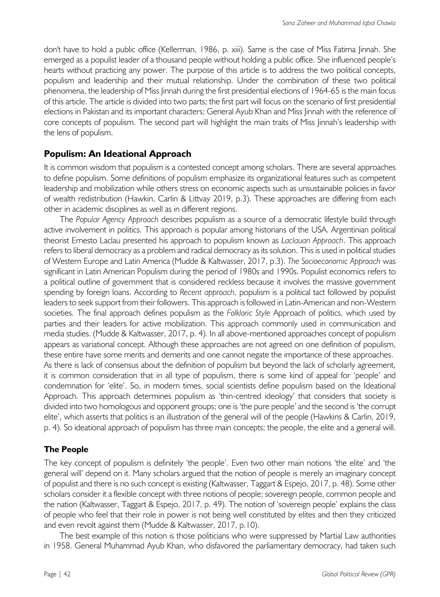don't have to hold a public office (Kellerman, 1986, p. xiii). Same is the case of Miss Fatima Jinnah. She emerged as a populist leader of a thousand people without holding a public office. She influenced people's hearts without practicing any power. The purpose of this article is to address the two political concepts, populism and leadership and their mutual relationship. Under the combination of these two political phenomena, the leadership of Miss Jinnah during the first presidential elections of 1964-65 is the main focus of this article. The article is divided into two parts; the first part will focus on the scenario of first presidential elections in Pakistan and its important characters; General Ayub Khan and Miss Jinnah with the reference of core concepts of populism. The second part will highlight the main traits of Miss Jinnah's leadership with the lens of populism.

## **Populism: An Ideational Approach**

It is common wisdom that populism is a contested concept among scholars. There are several approaches to define populism. Some definitions of populism emphasize its organizational features such as competent leadership and mobilization while others stress on economic aspects such as unsustainable policies in favor of wealth redistribution (Hawkin, Carlin & Littvay 2019, p.3). These approaches are differing from each other in academic disciplines as well as in different regions.

The *Popular Agency Approach* describes populism as a source of a democratic lifestyle build through active involvement in politics. This approach is popular among historians of the USA. Argentinian political theorist Ernesto Laclau presented his approach to populism known as *Laclauan Approach*. This approach refers to liberal democracy as a problem and radical democracy as its solution. This is used in political studies of Western Europe and Latin America (Mudde & Kaltwasser, 2017, p.3). *The Socioeconomic Approach* was significant in Latin American Populism during the period of 1980s and 1990s. Populist economics refers to a political outline of government that is considered reckless because it involves the massive government spending by foreign loans. According to *Recent approach,* populism is a political tact followed by populist leaders to seek support from their followers. This approach is followed in Latin-American and non-Western societies. The final approach defines populism as the *Folkloric Style* Approach of politics, which used by parties and their leaders for active mobilization. This approach commonly used in communication and media studies. (Mudde & Kaltwasser, 2017, p. 4). In all above-mentioned approaches concept of populism appears as variational concept. Although these approaches are not agreed on one definition of populism, these entire have some merits and demerits and one cannot negate the importance of these approaches. As there is lack of consensus about the definition of populism but beyond the lack of scholarly agreement, it is common consideration that in all type of populism, there is some kind of appeal for 'people' and condemnation for 'elite'. So, in modern times, social scientists define populism based on the Ideational Approach*.* This approach determines populism as 'thin-centred ideology' that considers that society is divided into two homologous and opponent groups; one is 'the pure people' and the second is 'the corrupt elite', which asserts that politics is an illustration of the general will of the people (Hawkins & Carlin, 2019,

p. 4). So ideational approach of populism has three main concepts; the people, the elite and a general will.

### **The People**

The key concept of populism is definitely 'the people'. Even two other main notions 'the elite' and 'the general will' depend on it. Many scholars argued that the notion of people is merely an imaginary concept of populist and there is no such concept is existing (Kaltwasser, Taggart & Espejo, 2017, p. 48). Some other scholars consider it a flexible concept with three notions of people; sovereign people, common people and the nation (Kaltwasser, Taggart & Espejo, 2017, p. 49). The notion of 'sovereign people' explains the class of people who feel that their role in power is not being well constituted by elites and then they criticized and even revolt against them (Mudde & Kaltwasser, 2017, p.10).

The best example of this notion is those politicians who were suppressed by Martial Law authorities in 1958. General Muhammad Ayub Khan, who disfavored the parliamentary democracy, had taken such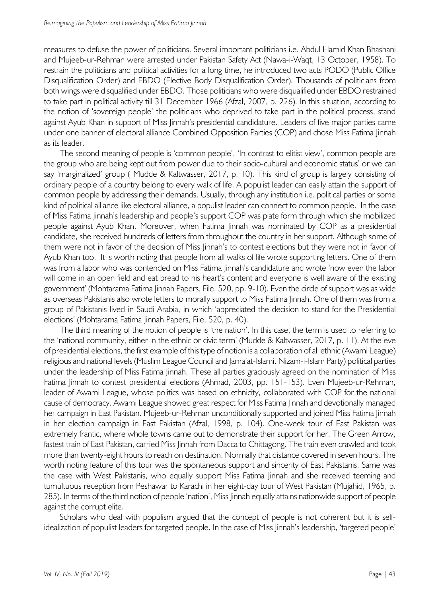measures to defuse the power of politicians. Several important politicians i.e. Abdul Hamid Khan Bhashani and Mujeeb-ur-Rehman were arrested under Pakistan Safety Act (Nawa-i-Waqt, 13 October, 1958). To restrain the politicians and political activities for a long time, he introduced two acts PODO (Public Office Disqualification Order) and EBDO (Elective Body Disqualification Order). Thousands of politicians from both wings were disqualified under EBDO. Those politicians who were disqualified under EBDO restrained to take part in political activity till 31 December 1966 (Afzal, 2007, p. 226). In this situation, according to the notion of 'sovereign people' the politicians who deprived to take part in the political process, stand against Ayub Khan in support of Miss Jinnah's presidential candidature. Leaders of five major parties came under one banner of electoral alliance Combined Opposition Parties (COP) and chose Miss Fatima Jinnah as its leader.

The second meaning of people is 'common people'. 'In contrast to elitist view', common people are the group who are being kept out from power due to their socio-cultural and economic status' or we can say 'marginalized' group ( Mudde & Kaltwasser, 2017, p. 10). This kind of group is largely consisting of ordinary people of a country belong to every walk of life. A populist leader can easily attain the support of common people by addressing their demands. Usually, through any institution i.e. political parties or some kind of political alliance like electoral alliance, a populist leader can connect to common people. In the case of Miss Fatima Jinnah's leadership and people's support COP was plate form through which she mobilized people against Ayub Khan. Moreover, when Fatima Jinnah was nominated by COP as a presidential candidate, she received hundreds of letters from throughout the country in her support. Although some of them were not in favor of the decision of Miss Jinnah's to contest elections but they were not in favor of Ayub Khan too. It is worth noting that people from all walks of life wrote supporting letters. One of them was from a labor who was contended on Miss Fatima Jinnah's candidature and wrote 'now even the labor will come in an open field and eat bread to his heart's content and everyone is well aware of the existing government' (Mohtarama Fatima Jinnah Papers, File, 520, pp. 9-10). Even the circle of support was as wide as overseas Pakistanis also wrote letters to morally support to Miss Fatima Jinnah. One of them was from a group of Pakistanis lived in Saudi Arabia, in which 'appreciated the decision to stand for the Presidential elections' (Mohtarama Fatima Jinnah Papers, File, 520, p. 40).

The third meaning of the notion of people is 'the nation'. In this case, the term is used to referring to the 'national community, either in the ethnic or civic term' (Mudde & Kaltwasser, 2017, p. 11). At the eve of presidential elections, the first example of this type of notion is a collaboration of all ethnic (Awami League) religious and national levels (Muslim League Council and Jama'at-Islami. Nizam-i-Islam Party) political parties under the leadership of Miss Fatima Jinnah. These all parties graciously agreed on the nomination of Miss Fatima Jinnah to contest presidential elections (Ahmad, 2003, pp. 151-153). Even Mujeeb-ur-Rehman, leader of Awami League, whose politics was based on ethnicity, collaborated with COP for the national cause of democracy. Awami League showed great respect for Miss Fatima Jinnah and devotionally managed her campaign in East Pakistan. Mujeeb-ur-Rehman unconditionally supported and joined Miss Fatima Jinnah in her election campaign in East Pakistan (Afzal, 1998, p. 104). One-week tour of East Pakistan was extremely frantic, where whole towns came out to demonstrate their support for her. The Green Arrow, fastest train of East Pakistan, carried Miss Jinnah from Dacca to Chittagong. The train even crawled and took more than twenty-eight hours to reach on destination. Normally that distance covered in seven hours. The worth noting feature of this tour was the spontaneous support and sincerity of East Pakistanis. Same was the case with West Pakistanis, who equally support Miss Fatima Jinnah and she received teeming and tumultuous reception from Peshawar to Karachi in her eight-day tour of West Pakistan (Mujahid, 1965, p. 285). In terms of the third notion of people 'nation', Miss Jinnah equally attains nationwide support of people against the corrupt elite.

Scholars who deal with populism argued that the concept of people is not coherent but it is selfidealization of populist leaders for targeted people. In the case of Miss Jinnah's leadership, 'targeted people'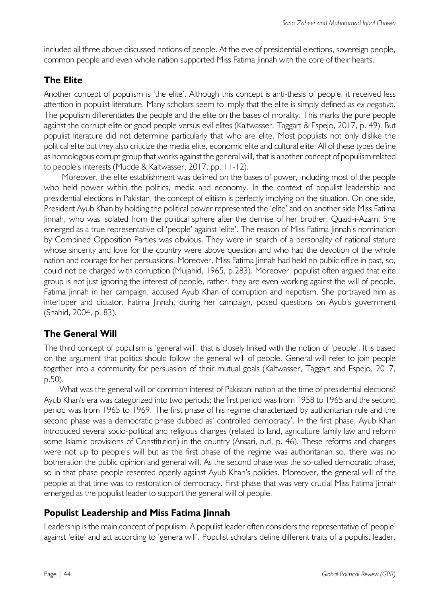included all three above discussed notions of people. At the eve of presidential elections, sovereign people, common people and even whole nation supported Miss Fatima Jinnah with the core of their hearts.

## **The Elite**

Another concept of populism is 'the elite'. Although this concept is anti-thesis of people, it received less attention in populist literature. Many scholars seem to imply that the elite is simply defined as *ex negativo*. The populism differentiates the people and the elite on the bases of morality. This marks the pure people against the corrupt elite or good people versus evil elites (Kaltwasser, Taggart & Espejo, 2017, p. 49). But populist literature did not determine particularly that who are elite. Most populists not only dislike the political elite but they also criticize the media elite, economic elite and cultural elite. All of these types define as homologous corrupt group that works against the general will, that is another concept of populism related to people's interests (Mudde & Kaltwasser, 2017, pp. 11-12).

Moreover, the elite establishment was defined on the bases of power, including most of the people who held power within the politics, media and economy. In the context of populist leadership and presidential elections in Pakistan, the concept of elitism is perfectly implying on the situation. On one side, President Ayub Khan by holding the political power represented the 'elite' and on another side Miss Fatima Jinnah, who was isolated from the political sphere after the demise of her brother, Quaid-i-Azam. She emerged as a true representative of 'people' against 'elite'. The reason of Miss Fatima Jinnah's nomination by Combined Opposition Parties was obvious. They were in search of a personality of national stature whose sincerity and love for the country were above question and who had the devotion of the whole nation and courage for her persuasions. Moreover, Miss Fatima Jinnah had held no public office in past, so, could not be charged with corruption (Mujahid, 1965, p.283). Moreover, populist often argued that elite group is not just ignoring the interest of people, rather, they are even working against the will of people. Fatima Jinnah in her campaign, accused Ayub Khan of corruption and nepotism. She portrayed him as interloper and dictator. Fatima Jinnah, during her campaign, posed questions on Ayub's government (Shahid, 2004, p. 83).

## **The General Will**

The third concept of populism is 'general will', that is closely linked with the notion of 'people'. It is based on the argument that politics should follow the general will of people. General will refer to join people together into a community for persuasion of their mutual goals (Kaltwasser, Taggart and Espejo, 2017, p.50).

What was the general will or common interest of Pakistani nation at the time of presidential elections? Ayub Khan's era was categorized into two periods; the first period was from 1958 to 1965 and the second period was from 1965 to 1969. The first phase of his regime characterized by authoritarian rule and the second phase was a democratic phase dubbed as' controlled democracy'. In the first phase, Ayub Khan introduced several socio-political and religious changes (related to land, agriculture family law and reform some Islamic provisions of Constitution) in the country (Ansari, n.d, p. 46). These reforms and changes were not up to people's will but as the first phase of the regime was authoritarian so, there was no botheration the public opinion and general will. As the second phase was the so-called democratic phase, so in that phase people resented openly against Ayub Khan's policies. Moreover, the general will of the people at that time was to restoration of democracy. First phase that was very crucial Miss Fatima Jinnah emerged as the populist leader to support the general will of people.

# **Populist Leadership and Miss Fatima Jinnah**

Leadership is the main concept of populism. A populist leader often considers the representative of 'people' against 'elite' and act according to 'genera will'. Populist scholars define different traits of a populist leader.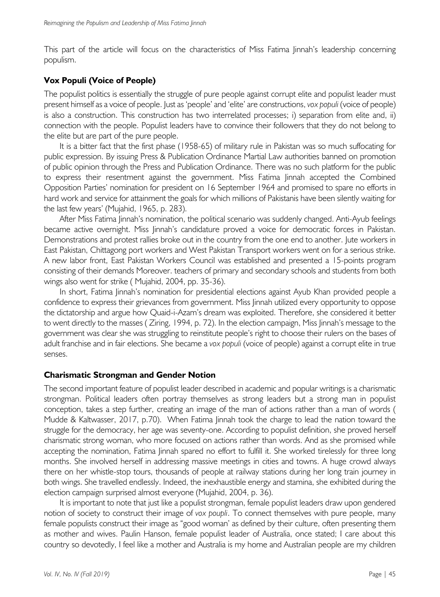This part of the article will focus on the characteristics of Miss Fatima Jinnah's leadership concerning populism.

#### **Vox Populi (Voice of People)**

The populist politics is essentially the struggle of pure people against corrupt elite and populist leader must present himself as a voice of people. Just as 'people' and 'elite' are constructions, *vox populi* (voice of people) is also a construction. This construction has two interrelated processes; i) separation from elite and, ii) connection with the people. Populist leaders have to convince their followers that they do not belong to the elite but are part of the pure people.

It is a bitter fact that the first phase (1958-65) of military rule in Pakistan was so much suffocating for public expression. By issuing Press & Publication Ordinance Martial Law authorities banned on promotion of public opinion through the Press and Publication Ordinance. There was no such platform for the public to express their resentment against the government. Miss Fatima Jinnah accepted the Combined Opposition Parties' nomination for president on 16 September 1964 and promised to spare no efforts in hard work and service for attainment the goals for which millions of Pakistanis have been silently waiting for the last few years' (Mujahid, 1965, p. 283).

After Miss Fatima Jinnah's nomination, the political scenario was suddenly changed. Anti-Ayub feelings became active overnight. Miss Jinnah's candidature proved a voice for democratic forces in Pakistan. Demonstrations and protest rallies broke out in the country from the one end to another. Jute workers in East Pakistan, Chittagong port workers and West Pakistan Transport workers went on for a serious strike. A new labor front, East Pakistan Workers Council was established and presented a 15-points program consisting of their demands Moreover. teachers of primary and secondary schools and students from both wings also went for strike ( Mujahid, 2004, pp. 35-36).

In short, Fatima Jinnah's nomination for presidential elections against Ayub Khan provided people a confidence to express their grievances from government. Miss Jinnah utilized every opportunity to oppose the dictatorship and argue how Quaid-i-Azam's dream was exploited. Therefore, she considered it better to went directly to the masses ( Ziring, 1994, p. 72). In the election campaign, Miss Jinnah's message to the government was clear she was struggling to reinstitute people's right to choose their rulers on the bases of adult franchise and in fair elections. She became a *vox populi* (voice of people) against a corrupt elite in true senses.

#### **Charismatic Strongman and Gender Notion**

The second important feature of populist leader described in academic and popular writings is a charismatic strongman. Political leaders often portray themselves as strong leaders but a strong man in populist conception, takes a step further, creating an image of the man of actions rather than a man of words ( Mudde & Kaltwasser, 2017, p.70). When Fatima Jinnah took the charge to lead the nation toward the struggle for the democracy, her age was seventy-one. According to populist definition, she proved herself charismatic strong woman, who more focused on actions rather than words. And as she promised while accepting the nomination, Fatima Jinnah spared no effort to fulfill it. She worked tirelessly for three long months. She involved herself in addressing massive meetings in cities and towns. A huge crowd always there on her whistle-stop tours, thousands of people at railway stations during her long train journey in both wings. She travelled endlessly. Indeed, the inexhaustible energy and stamina, she exhibited during the election campaign surprised almost everyone (Mujahid, 2004, p. 36).

It is important to note that just like a populist strongman, female populist leaders draw upon gendered notion of society to construct their image of *vox poupli*. To connect themselves with pure people, many female populists construct their image as "good woman' as defined by their culture, often presenting them as mother and wives. Paulin Hanson, female populist leader of Australia, once stated; I care about this country so devotedly, I feel like a mother and Australia is my home and Australian people are my children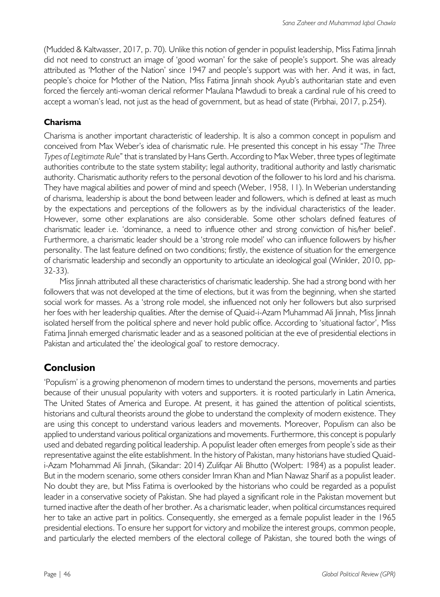(Mudded & Kaltwasser, 2017, p. 70). Unlike this notion of gender in populist leadership, Miss Fatima Jinnah did not need to construct an image of 'good woman' for the sake of people's support. She was already attributed as 'Mother of the Nation' since 1947 and people's support was with her. And it was, in fact, people's choice for Mother of the Nation, Miss Fatima Jinnah shook Ayub's authoritarian state and even forced the fiercely anti-woman clerical reformer Maulana Mawdudi to break a cardinal rule of his creed to accept a woman's lead, not just as the head of government, but as head of state (Pirbhai, 2017, p.254).

## **Charisma**

Charisma is another important characteristic of leadership. It is also a common concept in populism and conceived from Max Weber's idea of charismatic rule. He presented this concept in his essay "*The Three Types of Legitimate Rule*" that is translated by Hans Gerth. According to Max Weber, three types of legitimate authorities contribute to the state system stability; legal authority, traditional authority and lastly charismatic authority. Charismatic authority refers to the personal devotion of the follower to his lord and his charisma. They have magical abilities and power of mind and speech (Weber, 1958, 11). In Weberian understanding of charisma, leadership is about the bond between leader and followers, which is defined at least as much by the expectations and perceptions of the followers as by the individual characteristics of the leader. However, some other explanations are also considerable. Some other scholars defined features of charismatic leader i.e. 'dominance, a need to influence other and strong conviction of his/her belief'. Furthermore, a charismatic leader should be a 'strong role model' who can influence followers by his/her personality. The last feature defined on two conditions; firstly, the existence of situation for the emergence of charismatic leadership and secondly an opportunity to articulate an ideological goal (Winkler, 2010, pp-32-33).

Miss Jinnah attributed all these characteristics of charismatic leadership. She had a strong bond with her followers that was not developed at the time of elections, but it was from the beginning, when she started social work for masses. As a 'strong role model, she influenced not only her followers but also surprised her foes with her leadership qualities. After the demise of Quaid-i-Azam Muhammad Ali Jinnah, Miss Jinnah isolated herself from the political sphere and never hold public office. According to 'situational factor', Miss Fatima Jinnah emerged charismatic leader and as a seasoned politician at the eve of presidential elections in Pakistan and articulated the' the ideological goal' to restore democracy.

# **Conclusion**

'Populism' is a growing phenomenon of modern times to understand the persons, movements and parties because of their unusual popularity with voters and supporters. it is rooted particularly in Latin America, The United States of America and Europe. At present, it has gained the attention of political scientists, historians and cultural theorists around the globe to understand the complexity of modern existence. They are using this concept to understand various leaders and movements. Moreover, Populism can also be applied to understand various political organizations and movements. Furthermore, this concept is popularly used and debated regarding political leadership. A populist leader often emerges from people's side as their representative against the elite establishment. In the history of Pakistan, many historians have studied Quaidi-Azam Mohammad Ali Jinnah, (Sikandar: 2014) Zulifqar Ali Bhutto (Wolpert: 1984) as a populist leader. But in the modern scenario, some others consider Imran Khan and Mian Nawaz Sharif as a populist leader. No doubt they are, but Miss Fatima is overlooked by the historians who could be regarded as a populist leader in a conservative society of Pakistan. She had played a significant role in the Pakistan movement but turned inactive after the death of her brother. As a charismatic leader, when political circumstances required her to take an active part in politics. Consequently, she emerged as a female populist leader in the 1965 presidential elections. To ensure her support for victory and mobilize the interest groups, common people, and particularly the elected members of the electoral college of Pakistan, she toured both the wings of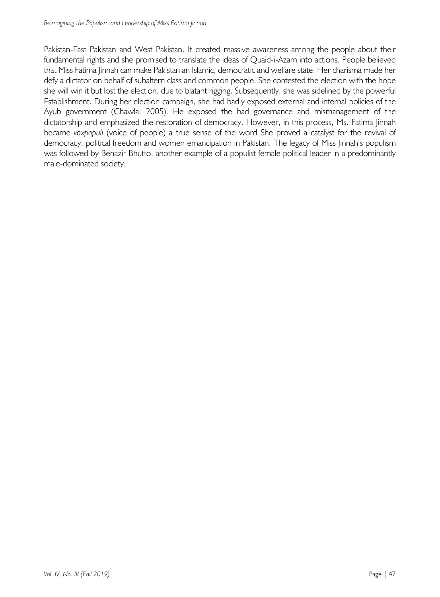Pakistan-East Pakistan and West Pakistan. It created massive awareness among the people about their fundamental rights and she promised to translate the ideas of Quaid-i-Azam into actions. People believed that Miss Fatima Jinnah can make Pakistan an Islamic, democratic and welfare state. Her charisma made her defy a dictator on behalf of subaltern class and common people. She contested the election with the hope she will win it but lost the election, due to blatant rigging. Subsequently, she was sidelined by the powerful Establishment. During her election campaign, she had badly exposed external and internal policies of the Ayub government (Chawla: 2005). He exposed the bad governance and mismanagement of the dictatorship and emphasized the restoration of democracy. However, in this process, Ms. Fatima Jinnah became *voxpopuli* (voice of people) a true sense of the word She proved a catalyst for the revival of democracy, political freedom and women emancipation in Pakistan. The legacy of Miss Jinnah's populism was followed by Benazir Bhutto, another example of a populist female political leader in a predominantly male-dominated society.